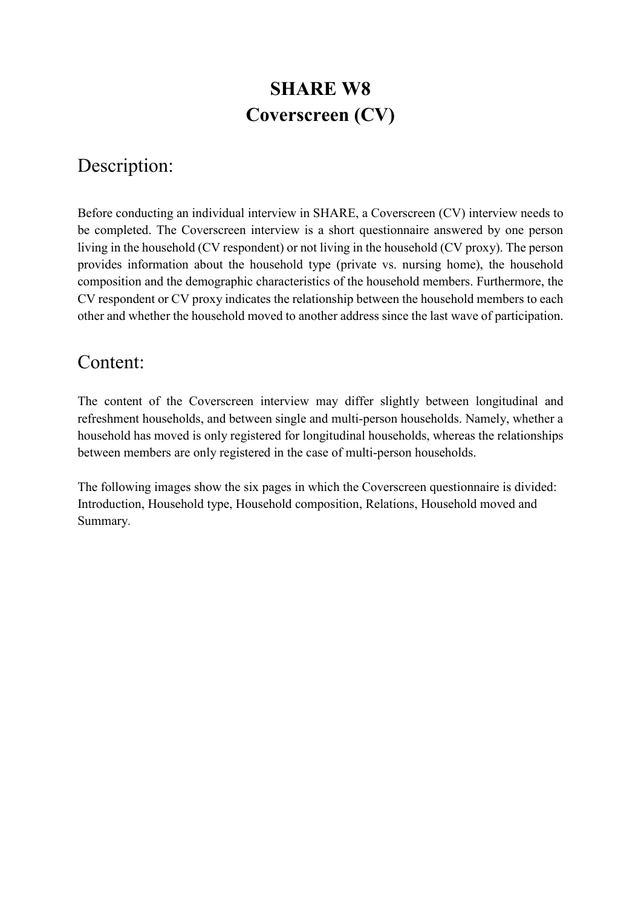# **SHARE W8 Coverscreen (CV)**

# Description:

Before conducting an individual interview in SHARE, a Coverscreen (CV) interview needs to be completed. The Coverscreen interview is a short questionnaire answered by one person living in the household (CV respondent) or not living in the household (CV proxy). The person provides information about the household type (private vs. nursing home), the household composition and the demographic characteristics of the household members. Furthermore, the CV respondent or CV proxy indicates the relationship between the household members to each other and whether the household moved to another address since the last wave of participation.

## Content:

The content of the Coverscreen interview may differ slightly between longitudinal and refreshment households, and between single and multi-person households. Namely, whether a household has moved is only registered for longitudinal households, whereas the relationships between members are only registered in the case of multi-person households.

The following images show the six pages in which the Coverscreen questionnaire is divided: Introduction, Household type, Household composition, Relations, Household moved and Summary.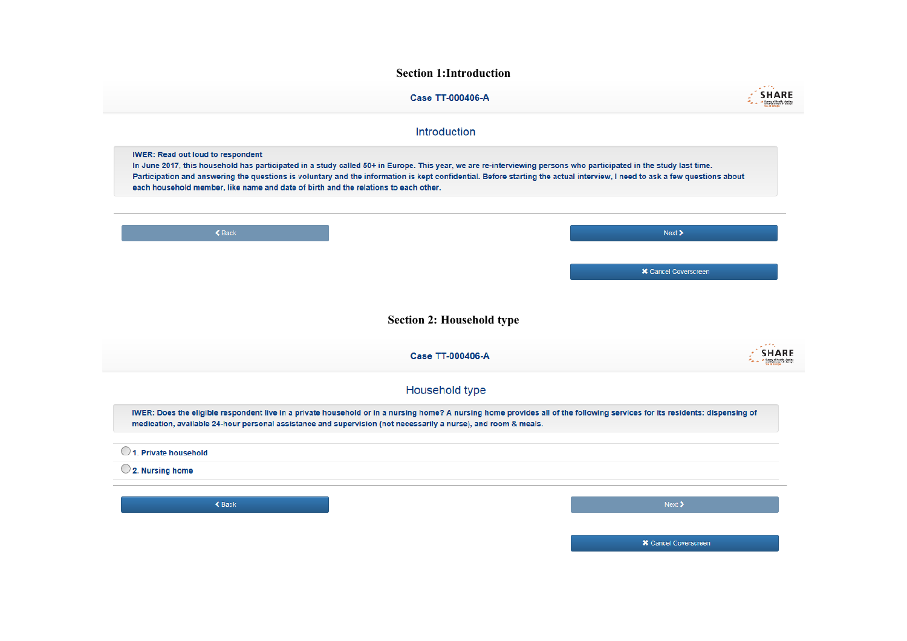#### **Section 1:Introduction**

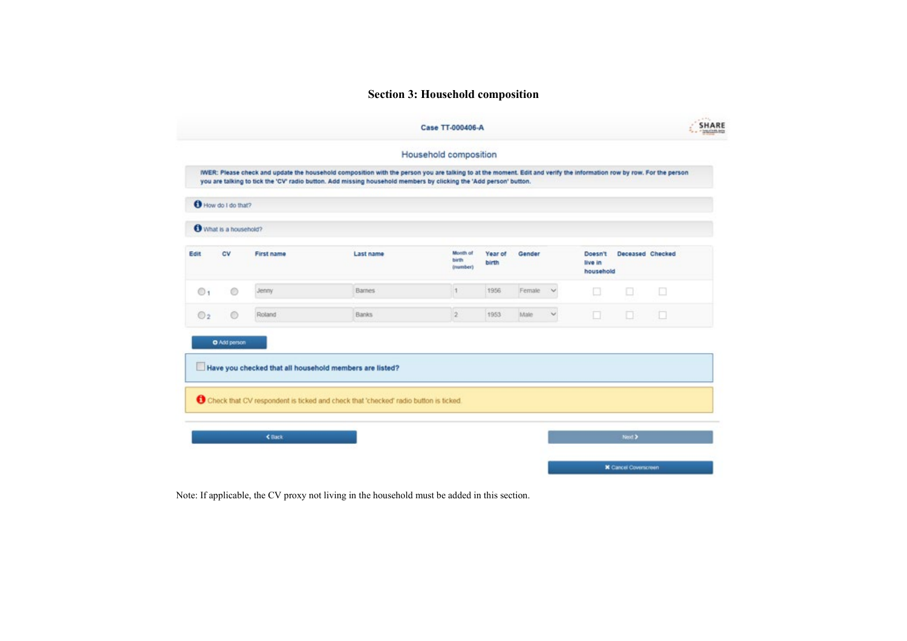### **Section 3: Household composition**

|                       | How do I do that?    |            |                                                                                                                                                |                               |                  |        |        |                                 |                  |        |
|-----------------------|----------------------|------------|------------------------------------------------------------------------------------------------------------------------------------------------|-------------------------------|------------------|--------|--------|---------------------------------|------------------|--------|
|                       | What is a household? |            |                                                                                                                                                |                               |                  |        |        |                                 |                  |        |
| Edit                  | <b>CV</b>            | First name | Last name                                                                                                                                      | Month of<br>birth<br>(mamber) | Year of<br>birth | Gender |        | Doesn't<br>live in<br>household | Deceased Checked |        |
| <b>O</b> <sup>1</sup> | 0                    | Jenny      | <b>Barnes</b>                                                                                                                                  | $\vert$ 1                     | 1956             | Female | $\sim$ | n                               | n                | $\Box$ |
| $\odot$ <sub>2</sub>  | $\circ$              | Roland     | <b>Banks</b>                                                                                                                                   | $\overline{2}$                | 1953             | Male   | ч      | $\Box$                          | 0                | o      |
|                       | O Add person         |            | Have you checked that all household members are listed?<br>Check that CV respondent is ticked and check that 'checked' radio button is ticked. |                               |                  |        |        |                                 |                  |        |

Note: If applicable, the CV proxy not living in the household must be added in this section.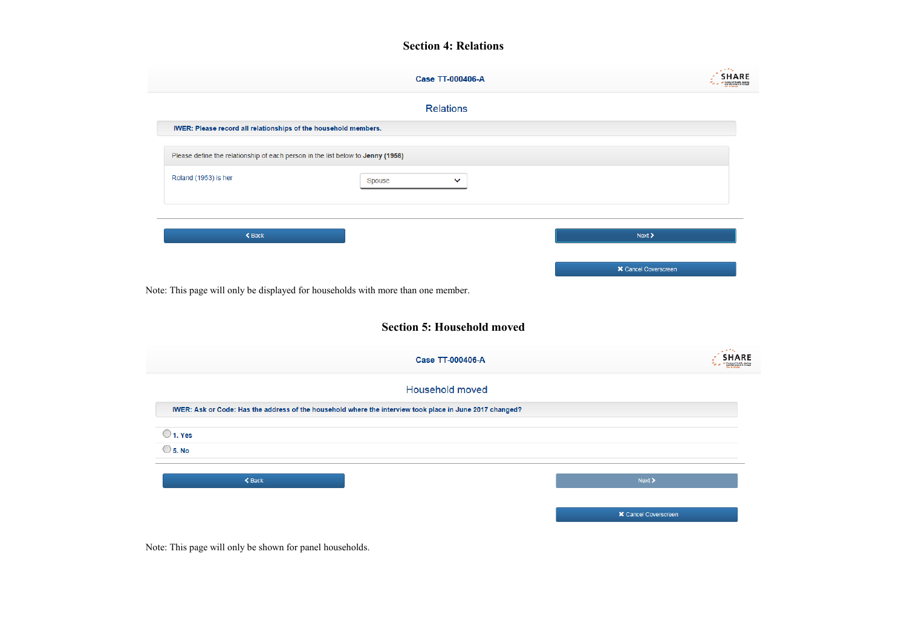#### **Section 4: Relations**

|                                                                                                                                                    | <b>Case TT-000406-A</b>                                                                                  | i kela<br><b>SHARE</b>      |  |  |  |  |  |
|----------------------------------------------------------------------------------------------------------------------------------------------------|----------------------------------------------------------------------------------------------------------|-----------------------------|--|--|--|--|--|
|                                                                                                                                                    | <b>Relations</b>                                                                                         |                             |  |  |  |  |  |
| IWER: Please record all relationships of the household members.<br>Please define the relationship of each person in the list below to Jenny (1956) |                                                                                                          |                             |  |  |  |  |  |
|                                                                                                                                                    |                                                                                                          |                             |  |  |  |  |  |
|                                                                                                                                                    |                                                                                                          |                             |  |  |  |  |  |
| $\triangle$ Back                                                                                                                                   |                                                                                                          | Next                        |  |  |  |  |  |
|                                                                                                                                                    |                                                                                                          |                             |  |  |  |  |  |
|                                                                                                                                                    | Note: This page will only be displayed for households with more than one member.                         | <b>X</b> Cancel Coverscreen |  |  |  |  |  |
|                                                                                                                                                    | <b>Section 5: Household moved</b>                                                                        |                             |  |  |  |  |  |
|                                                                                                                                                    | <b>Case TT-000406-A</b>                                                                                  |                             |  |  |  |  |  |
|                                                                                                                                                    | Household moved                                                                                          |                             |  |  |  |  |  |
|                                                                                                                                                    | IWER: Ask or Code: Has the address of the household where the interview took place in June 2017 changed? |                             |  |  |  |  |  |
|                                                                                                                                                    |                                                                                                          |                             |  |  |  |  |  |
| $\bigcirc$ 1. Yes<br>$\bigcirc$ 5. No                                                                                                              |                                                                                                          |                             |  |  |  |  |  |
| $\triangle$ Back                                                                                                                                   |                                                                                                          | <b>SHARE</b><br>Next        |  |  |  |  |  |

Note: This page will only be shown for panel households.